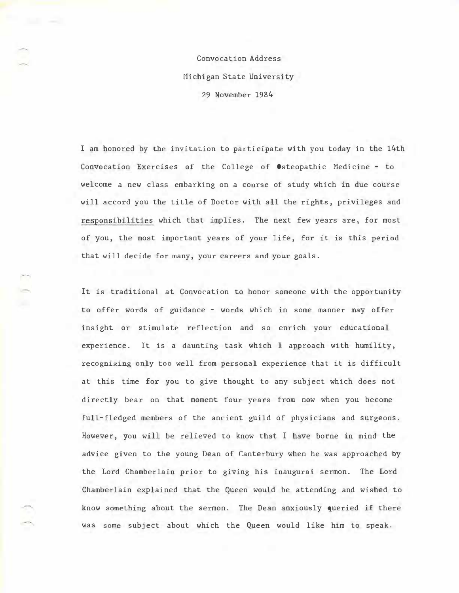Convocation Address Michigan State University 29 November 1984

I am honored by the invitation to participate with you today in the 14th Convocation Exercises of the College of Osteopathic Medicine - to welcome a new class embarking on a course of study which in due course will accord you the title of Doctor with all the rights, privileges and responsibilities which that implies. The next few years are, for most of you, the most important years of your life, for it is this period that will decide for many, your careers and your goals.

It is traditional at Convocation to honor someone with the opportunity to offer words of guidance - words which in some manner may offer insight or stimulate reflection and so enrich your educational experience. It is a daunting task which I approach with humility, recognizing only too well from personal experience that it is difficult at this time for you to give thought to any subject which does not directly bear on that moment four years from now when you become full-fledged members of the ancient guild of physicians and surgeons. However, you will be relieved to know that I have borne in mind the advice given to the young Dean of Canterbury when he was approached by the Lord Chamberlain prior to giving his inaugural sermon. The Lord Chamberlain explained that the Queen would be attending and wished to know something about the sermon. The Dean anxiously queried if there was some subject about which the Queen would like him to speak.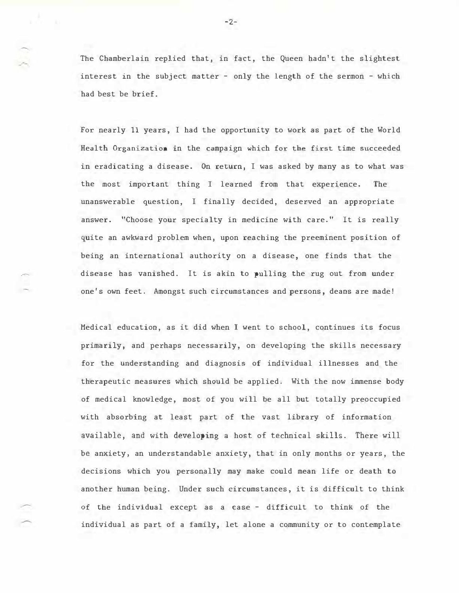The Chamberlain replied that, in fact, the Queen hadn't the slightest interest in the subject matter - only the length of the sermon - which had best be brief.

For nearly 11 years, I had the opportunity to work as part of the World Health Organization in the campaign which for the first time succeeded in eradicating a disease. On return, I was asked by many as to what was the most important thing I learned from that experience. The unanswerable question, I finally decided, deserved an appropriate answer. "Choose your specialty in medicine with care." It is really quite an awkward problem when, upon reaching the preeminent position of being an international authority on a disease, one finds that the disease has vanished. It is akin to pulling the rug out from under one's own feet. Amongst such circumstances and persons, deans are made!

Medical education, as it did when I went to school, continues its focus primarily, and perhaps necessarily, on developing the skills necessary for the understanding and diagnosis of individual illnesses and the therapeutic measures which should be applied. With the now immense body of medical knowledge, most of you will be all but totally preoccupied with absorbing at least part of the vast library of information available, and with developing a host of technical skills. There will be anxiety, an understandable anxiety, that in only months or years, the decisions which you personally may make could mean life or death to another human being. Under such circumstances, it is difficult to think of the individual except as a case - difficult to think of the individual as part of a family, let alone a community or to contemplate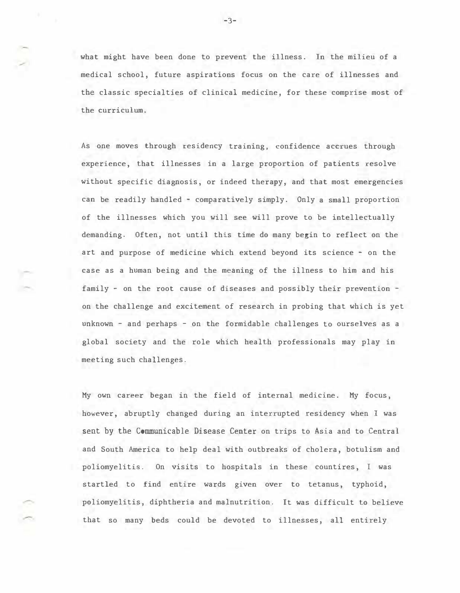what might have been done to prevent the illness. In the milieu of a medical school, future aspirations focus on the care of illnesses and the classic specialties of clinical medicine, for these comprise most of the curriculum.

As one moves through residency training, confidence accrues through experience, that illnesses in a large proportion of patients resolve without specific diagnosis, or indeed therapy, and that most emergencies can be readily handled - comparatively simply. Only a small proportion of the illnesses which you will see will prove to be intellectually demanding. Often, not until this time do many begin to reflect on the art and purpose of medicine which extend beyond its science - on the case as a human being and the meaning of the illness to him and his family - on the root cause of diseases and possibly their prevention on the challenge and excitement of research in probing that which is yet unknown - and perhaps - on the formidable challenges to ourselves as a global society and the role which health professionals may play in meeting such challenges.

My own career began in the field of internal medicine. My focus, however, abruptly changed during an interrupted residency when I was sent by the Communicable Disease Center on trips to Asia and to Central and South America to help deal with outbreaks of cholera, botulism and poliomyelitis. On visits to hospitals in these countires, I was startled to find entire wards given over to tetanus, typhoid, poliomyelitis, diphtheria and malnutrition. It was difficult to believe that so many beds could be devoted to illnesses, all entirely

-3-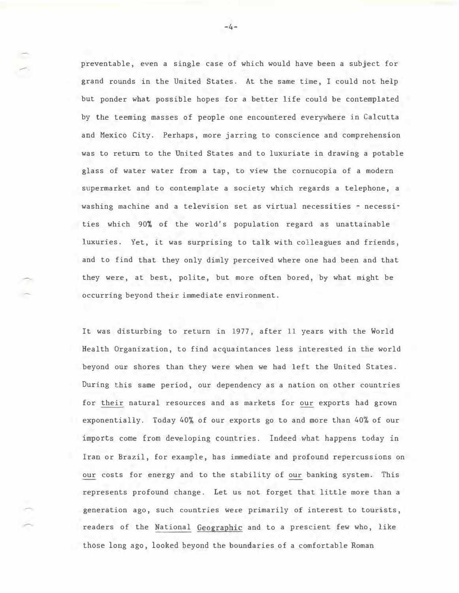preventable, even a single case of which would have been a subject for grand rounds in the United States. At the same time, I could not help but ponder what possible hopes for a better life could be contemplated by the teeming masses of people one encountered everywhere in Calcutta and Mexico City. Perhaps, more jarring to conscience and comprehension was to return to the United States and to luxuriate in drawing a potable glass of water water from a tap, to view the cornucopia of a modern supermarket and to contemplate a society which regards a telephone, a washing machine and a television set as virtual necessities - necessities which 90% of the world's population regard as unattainable luxuries. Yet, it was surprising to talk with colleagues and friends, and to find that they only dimly perceived where one had been and that they were, at best, polite, but more often bored, by what might be occurring beyond their immediate environment.

It was disturbing to return in 1977, after 11 years with the World Health Organization, to find acquaintances less interested in the world beyond our shores than they were when we had left the United States. During this same period, our dependency as a nation on other countries for their natural resources and as markets for our exports had grown exponentially. Today 40% of our exports go to and more than 40% of our imports come from developing countries. Indeed what happens today in Iran or Brazil, for example, bas immediate and profound repercussions on our costs for energy and to the stability of our banking system. This represents profound change. Let us not forget that little more than a generation ago, such countries were primarily of interest to tourists, readers of the National Geographic and to a prescient few who, like those long ago, looked beyond the boundaries of a comfortable Roman

 $-4-$ 

 $\overline{\phantom{a}}$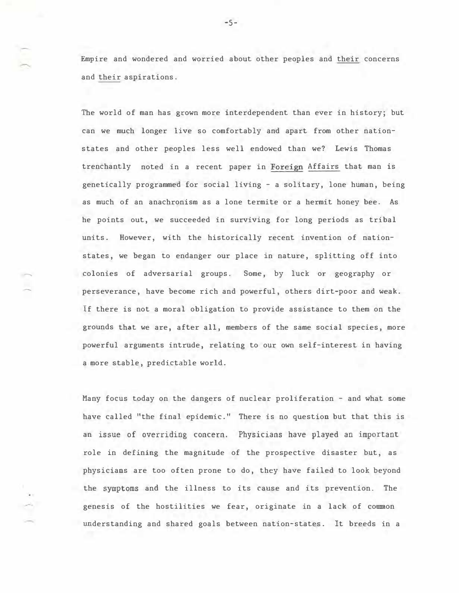Empire and wondered and worried about other peoples and their concerns and their aspirations.

The world of man has grown more interdependent than ever in history; but can we much longer live so comfortably and apart from other nationstates and other peoples less well endowed than we? Lewis Thomas trenchantly noted in a recent paper in Foreign Affairs that man is genetically programmed for social living - a solitary, lone human, being as much of an anachronism as a lone termite or a hermit honey bee. As he points out, we succeeded in surviving for long periods as tribal units. However, with the historically recent invention of nationstates, we began to endanger our place in nature, splitting off into colonies of adversarial groups. Some, by luck or geography or perseverance, have become rich and powerful, others dirt-poor and weak. If there is not a moral obligation to provide assistance to them on the grounds that we are, after all, members of the same social species, more powerful arguments intrude, relating to our own self-interest in having a more stable, predictable world.

......

Many focus today on the dangers of nuclear proliferation - and what some have called "the final epidemic." There is no question but that this is an issue of overriding concern. Physicians have played an important role in defining the magnitude of the prospective disaster but, as physicians are too often prone to do, they have failed to look beyond the symptoms and the illness to its cause and its prevention. The genesis of the hostilities we fear, originate in a lack of common understanding and shared goals between nation-states. It breeds in a

 $-5-$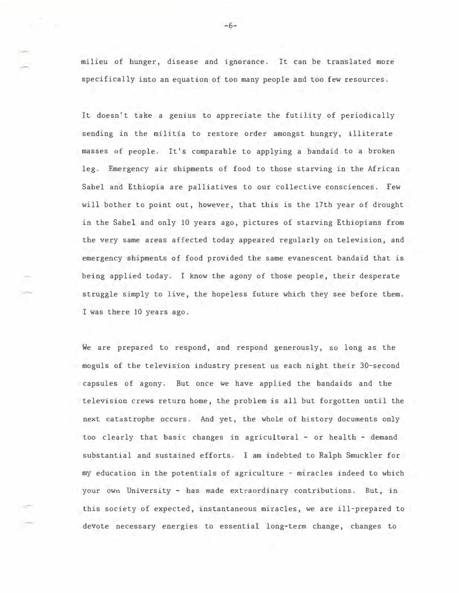milieu of hunger, disease and ignorance. It can be translated more specifically into an equation of too many people and too few resources.

It doesn't take a genius to appreciate the futility of periodically sending in the militia to restore order amongst hungry, illiterate masses of people. It's comparable to applying a bandaid to a broken leg. Emergency air shipments of food to those starving in the African Sahel and Ethiopia are palliatives to our collective consciences. Few will bother to point out, however, that this is the 17th year of drought in the Sahel and only 10 years ago, pictures of starving Ethiopians from the very same areas affected today appeared regularly on television, and emergency shipments of food provided the same evanescent bandaid that is being applied today. I know the agony of those people, their desperate struggle simply to live, the hopeless future which they see before them. I was there 10 years ago.

We are prepared to respond, and respond generously, so long as the moguls of the television industry present us each night their 30-second capsules of agony. But once we have applied the bandaids and the television crews return home, the problem is all but forgotten until the next catastrophe occurs. And yet, the whole of history docwnents only too clearly that basic changes in agricultural - or health - demand substantial and sustained efforts. I am indebted to Ralph Smuckler for my education in the potentials of agriculture - miracles indeed to which your own University - has made extraordinary contributions. But, in this society of expected, instantaneous miracles, we are ill-prepared to devote necessary energies to essential long-term change, changes to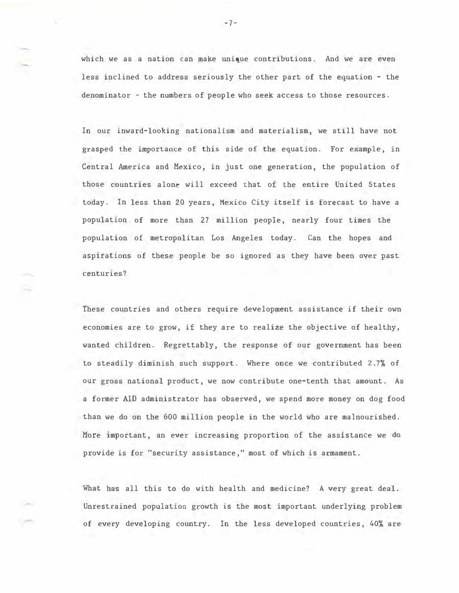which we as a nation can make unique contributions. And we are even less inclined to address seriously the other part of the equation - the denominator - the numbers of people who seek access to those resources.

In our inward-looking nationalism and materialism, we still have not grasped the importance of this side of the equation. For example, in Central America and Mexico, in just one generation, the population of those countries alone will exceed that of the entire United States today. In less than 20 years, Mexico City itself is forecast to have a population of more than 27 million people, nearly four times the population of metropolitan Los Angeles today. Can the hopes and aspirations of these people be so ignored as they have been over past centuries?

These countries and others require development assistance if their own economies are to grow, if they are to realize the objective of healthy, wanted children. Regrettably, the response of our government has been to steadily diminish such support. Where once we contributed 2.7% of our gross national product, we now contribute one-tenth that amount. As a former AID administrator has observed, we spend more money on dog food than we do on the 600 million people in the world who are malnourished. More important, an ever increasing proportion of the assistance we do provide is for "security assistance," most of which is armament.

What has all this to do with health and medicine? A very great deal. Unrestrained population growth is the most important underlying problem of every developing country. In the less developed countries, 40% are

-7-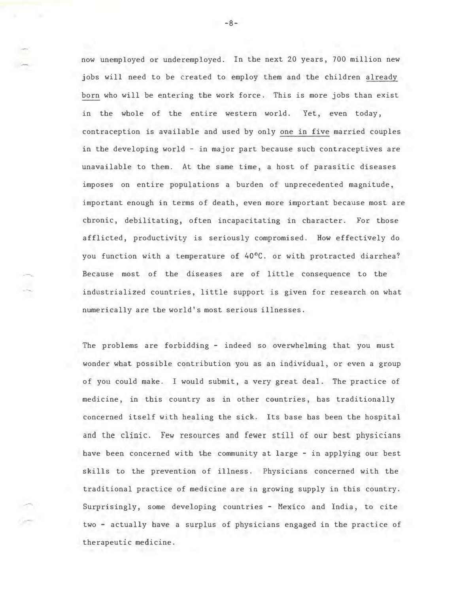now unemployed or underemployed. In the next 20 years, 700 million new jobs will need to be created to employ them and the children already born who will be entering the work force. This is more jobs than exist in the whole of the entire western world. Yet, even today, contraception is available and used by only one in five married couples in the developing world - in major part because such contraceptives are unavailable to them. At the same time, a host of parasitic diseases imposes on entire populations a burden of unprecedented magnitude, important enough in terms of death, even more important because most are chronic, debilitating, often incapacitating in character. For those afflicted, productivity is seriously compromised. How effectively do you function with a temperature of 40°C. or with protracted diarrhea? Because most of the diseases are of little consequence to the industrialized countries, little support is given for research on what numerically are the world's most serious illnesses.

The problems are forbidding - indeed so overwhelming that you must wonder what possible contribution you as an individual, or even a group of you could make. I would submit, a very great deal. The practice of medicine, in this country as in other countries, has traditionally concerned itself with healing the sick. Its base has been the hospital and the clinic. Few resources and fewer still of our best physicians have been concerned with the community at large - in applying our best skills to the prevention of illness. Physicians concerned with the traditional practice of medicine are in growing supply in this country. Surprisingly, some developing countries - Mexico and India, to cite two - actually have a surplus of physicians engaged in the practice of therapeutic medicine.

-8-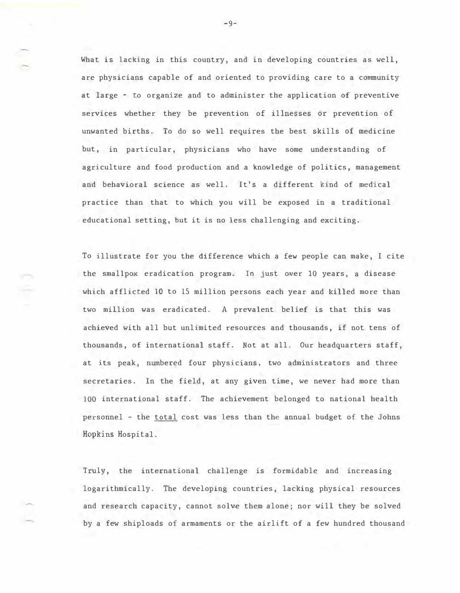What is lacking in this country, and in developing countries as well, are physicians capable of and oriented to providing care to a community at large - to organize and to administer the application of preventive services whether they be prevention of illnesses or prevention of unwanted births. To do so well requires the best skills of medicine but, in particular, physicians who have some understanding of agriculture and food production and a knowledge of politics, management and behavioral science as well. It's a different kind of medical practice than that to which you will be exposed in a traditional educational setting, but it is no less challenging and exciting.

To illustrate for you the difference which a few people can make, I cite the smallpox eradication program. Jn just over 10 years, a disease which afflicted 10 to 15 million persons each year and killed more than two million was eradicated. A prevalent belief is that this was achieved with all but unlimited resources and thousands, if not tens of thousands, of international staff. Not at all. Our headquarters staff, at its peak, numbered four physicians, two administrators and three secretaries. In the field, at any given time, we never had more than 100 international staff. The achievement belonged to national health personnel - the total cost was less than the annual budget of the Johns Hopkins Hospital.

Truly, the international challenge is formidable and increasing logarithmically. The developing countries, lacking physical resources and research capacity, cannot solve them alone; nor will they be solved by a few shiploads of armaments or the airlift of a few hundred thousand

 $-9-$